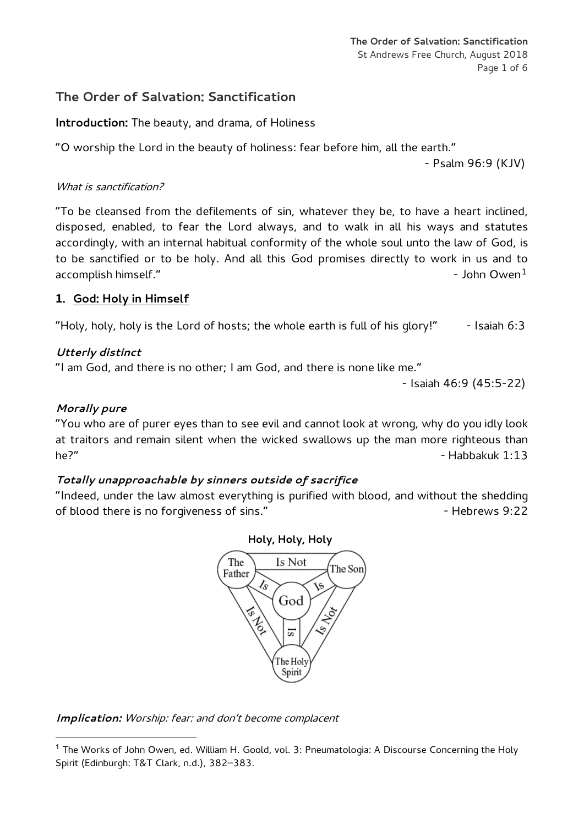**The Order of Salvation: Sanctification** St Andrews Free Church, August 2018 Page 1 of 6

# **The Order of Salvation: Sanctification**

**Introduction:** The beauty, and drama, of Holiness

"O worship the Lord in the beauty of holiness: fear before him, all the earth."

- Psalm 96:9 (KJV)

### What is sanctification?

"To be cleansed from the defilements of sin, whatever they be, to have a heart inclined, disposed, enabled, to fear the Lord always, and to walk in all his ways and statutes accordingly, with an internal habitual conformity of the whole soul unto the law of God, is to be sanctified or to be holy. And all this God promises directly to work in us and to accomplish himself."  $\sim$  [1](#page-0-0)0  $\mu$  accomplish himself."

### **1. God: Holy in Himself**

"Holy, holy, holy is the Lord of hosts; the whole earth is full of his glory!"  $-$  Isaiah 6:3

# *Utterly distinct*

"I am God, and there is no other; I am God, and there is none like me."

- Isaiah 46:9 (45:5-22)

# *Morally pure*

-

"You who are of purer eyes than to see evil and cannot look at wrong, why do you idly look at traitors and remain silent when the wicked swallows up the man more righteous than he?" . Habbakuk 1:13

### *Totally unapproachable by sinners outside of sacrifice*

"Indeed, under the law almost everything is purified with blood, and without the shedding of blood there is no forgiveness of sins." The state of sinse the state of blood there is no forgiveness of sins."



*Implication:* Worship: fear: and don't become complacent

<span id="page-0-0"></span><sup>&</sup>lt;sup>1</sup> The Works of John Owen, ed. William H. Goold, vol. 3: [Pneumatologia:](http://www.wtsbooks.com/works-of-john-owen-vol-john-owen-9780851511252?utm_source=bcrawford&utm_medium=blogpartners) A Discourse Concerning the Holy [Spirit](http://www.wtsbooks.com/works-of-john-owen-vol-john-owen-9780851511252?utm_source=bcrawford&utm_medium=blogpartners) (Edinburgh: T&T Clark, n.d.), 382–383.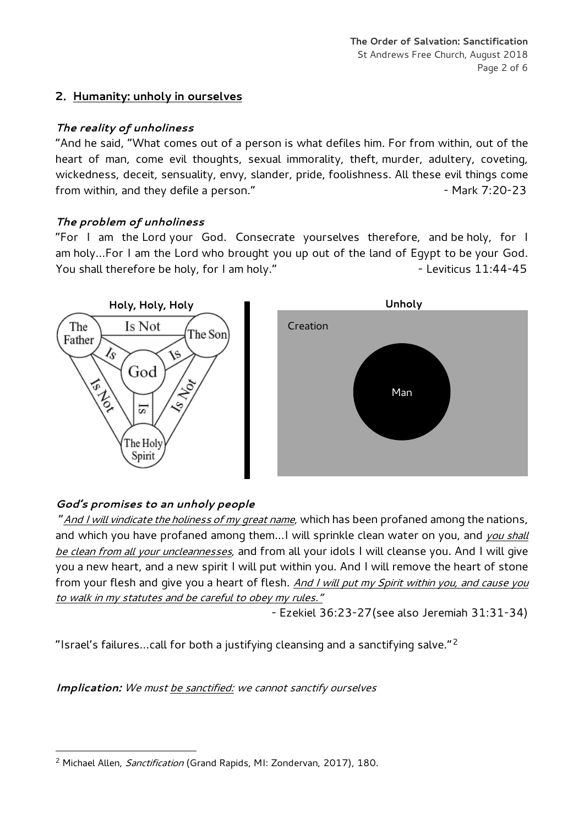# **2. Humanity: unholy in ourselves**

# *The reality of unholiness*

"And he said, "What comes out of a person is what defiles him. For from within, out of the heart of man, come evil thoughts, sexual immorality, theft, murder, adultery, coveting, wickedness, deceit, sensuality, envy, slander, pride, foolishness. All these evil things come from within, and they defile a person." The match of the Mark 7:20-23

# *The problem of unholiness*

"For I am the Lord your God. Consecrate yourselves therefore, and be holy, for I am holy…For I am the Lord who brought you up out of the land of Egypt to be your God. You shall therefore be holy, for I am holy." The same series are selected by the leviticus 11:44-45



# *God's promises to an unholy people*

"And I will vindicate the holiness of my great name, which has been profaned among the nations, and which you have profaned among them... I will sprinkle clean water on you, and you shall be clean from all your uncleannesses, and from all your idols I will cleanse you. And I will give you a new heart, and a new spirit I will put within you. And I will remove the heart of stone from your flesh and give you a heart of flesh. And I will put my Spirit within you, and cause you to walk in my statutes and be careful to obey my rules."

- Ezekiel 36:23-27(see also Jeremiah 31:31-34)

"Israel's failures…call for both a justifying cleansing and a sanctifying salve."[2](#page-1-0)

*Implication:* We must be sanctified: we cannot sanctify ourselves

<span id="page-1-0"></span><sup>&</sup>lt;u>.</u> <sup>2</sup> Michael Allen, *Sanctification* (Grand Rapids, MI: Zondervan, 2017), 180.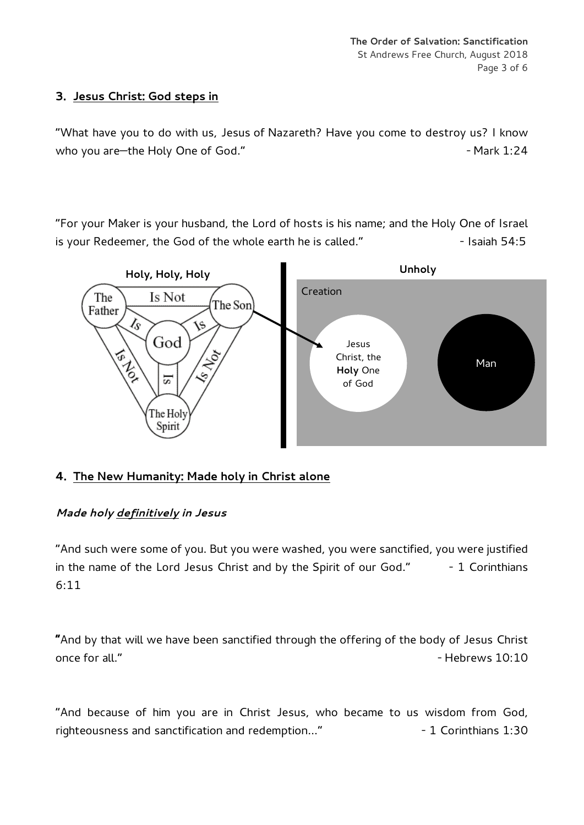# **3. Jesus Christ: God steps in**

"What have you to do with us, Jesus of Nazareth? Have you come to destroy us? I know who you are—the Holy One of God." The match of the Mark 1:24

"For your Maker is your husband, the Lord of hosts is his name; and the Holy One of Israel is your Redeemer, the God of the whole earth he is called." The Saiah 54:5



# **4. The New Humanity: Made holy in Christ alone**

# *Made holy definitively in Jesus*

"And such were some of you. But you were washed, you were sanctified, you were justified in the name of the Lord Jesus Christ and by the Spirit of our God."  $-1$  Corinthians 6:11

**"**And by that will we have been sanctified through the offering of the body of Jesus Christ once for all."  $\overline{\phantom{0}}$  - Hebrews 10:10

"And because of him you are in Christ Jesus, who became to us wisdom from God, righteousness and sanctification and redemption..." - The Corinthians 1:30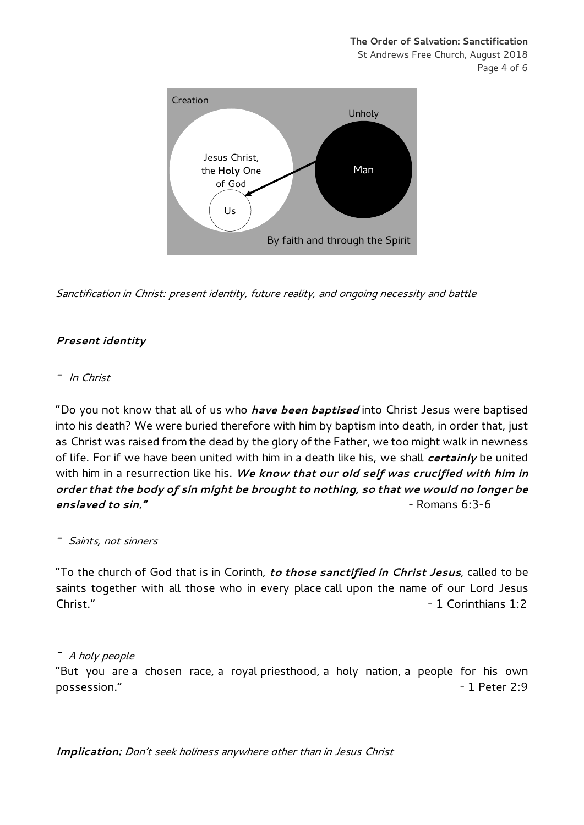**The Order of Salvation: Sanctification** St Andrews Free Church, August 2018 Page 4 of 6



Sanctification in Christ: present identity, future reality, and ongoing necessity and battle

### *Present identity*

#### - In Christ

"Do you not know that all of us who *have been baptised* into Christ Jesus were baptised into his death? We were buried therefore with him by baptism into death, in order that, just as Christ was raised from the dead by the glory of the Father, we too might walk in newness of life. For if we have been united with him in a death like his, we shall *certainly* be united with him in a resurrection like his. *We know that our old self was crucified with him in order that the body of sin might be brought to nothing, so that we would no longer be* enslaved to sin." **All and the single structure of the single structure of the single structure of the single structure of the single structure**  $\epsilon$  **- Romans 6:3-6** 

- Saints, not sinners

"To the church of God that is in Corinth, *to those sanctified in Christ Jesus*, called to be saints together with all those who in every place call upon the name of our Lord Jesus Christ." - 1 Corinthians 1:2

- A holy people

"But you are a chosen race, a royal priesthood, a holy nation, a people for his own possession." The contract of the contract of the contract of the contract of the contract of the contract of the contract of the contract of the contract of the contract of the contract of the contract of the contract of t

*Implication:* Don't seek holiness anywhere other than in Jesus Christ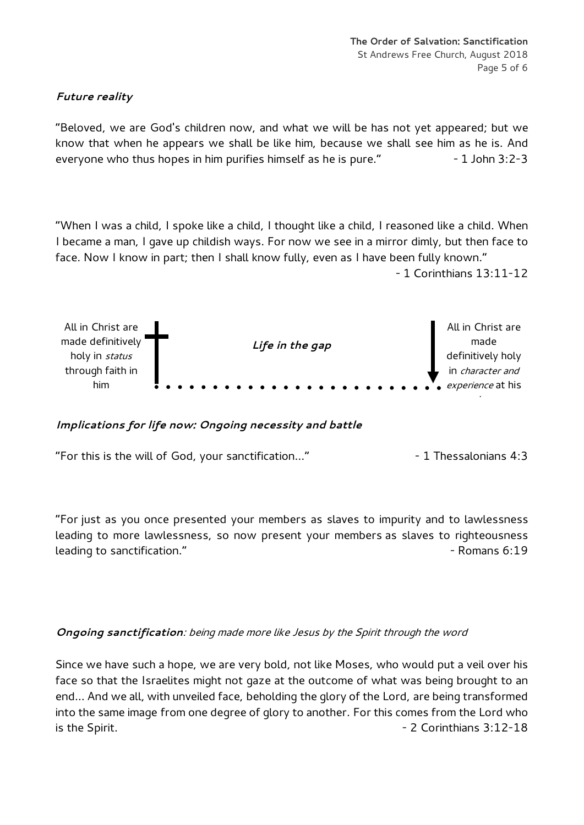# *Future reality*

"Beloved, we are God's children now, and what we will be has not yet appeared; but we know that when he appears we shall be like him, because we shall see him as he is. And everyone who thus hopes in him purifies himself as he is pure." - 1 John 3:2-3

"When I was a child, I spoke like a child, I thought like a child, I reasoned like a child. When I became a man, I gave up childish ways. For now we see in a mirror dimly, but then face to face. Now I know in part; then I shall know fully, even as I have been fully known."

- 1 Corinthians 13:11-12



*Implications for life now: Ongoing necessity and battle*

"For this is the will of God, your sanctification…" - 1 Thessalonians 4:3

"For just as you once presented your members as slaves to impurity and to lawlessness leading to more lawlessness, so now present your members as slaves to righteousness leading to sanctification." And the same state of the same state of the same state of the same state of the same state of the same state of the same state of the same state of the same state of the same state of the same s

### *Ongoing sanctification*: being made more like Jesus by the Spirit through the word

Since we have such a hope, we are very bold, not like Moses, who would put a veil over his face so that the Israelites might not gaze at the outcome of what was being brought to an end… And we all, with unveiled face, beholding the glory of the Lord, are being transformed into the same image from one degree of glory to another. For this comes from the Lord who is the Spirit. **All 2 Corinthians 3:12-18**